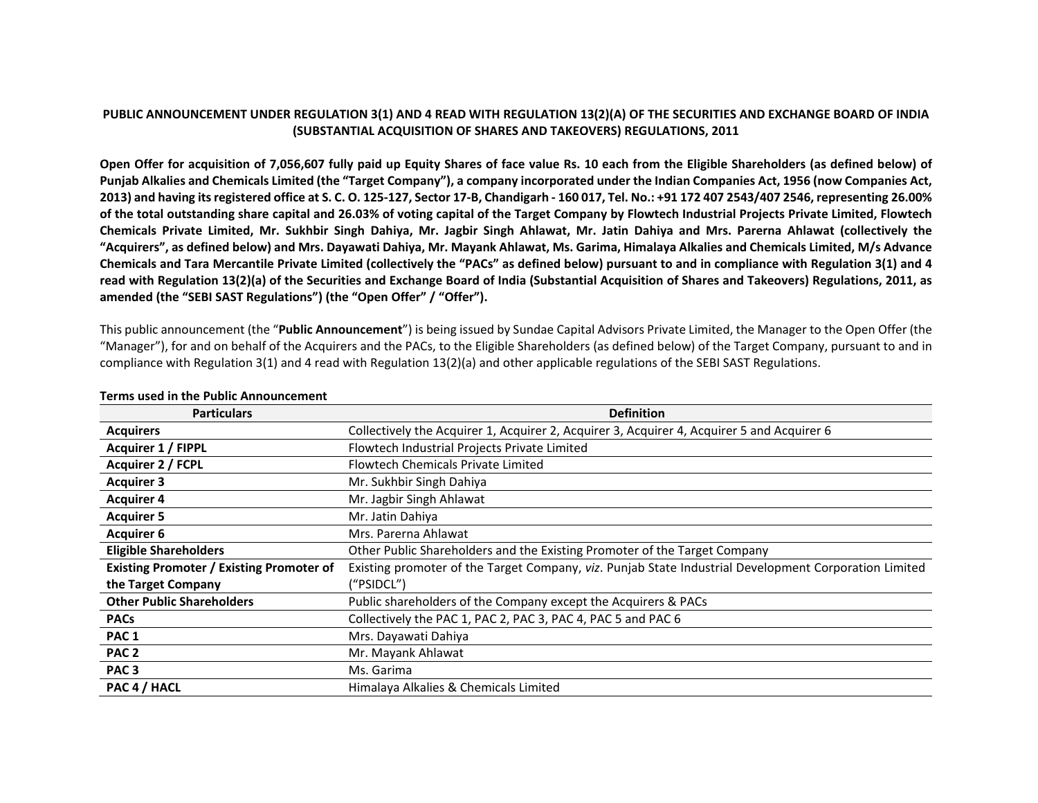# PUBLIC ANNOUNCEMENT UNDER REGULATION 3(1) AND 4 READ WITH REGULATION 13(2)(A) OF THE SECURITIES AND EXCHANGE BOARD OF INDIA **(SUBSTANTIAL ACQUISITION OF SHARES AND TAKEOVERS) REGULATIONS, 2011**

Open Offer for acquisition of 7,056,607 fully paid up Equity Shares of face value Rs. 10 each from the Eligible Shareholders (as defined below) of Punjab Alkalies and Chemicals Limited (the "Target Company"), a company incorporated under the Indian Companies Act, 1956 (now Companies Act, 2013) and having its registered office at S. C. O. 125-127, Sector 17-B, Chandigarh - 160 017, Tel. No.: +91 172 407 2543/407 2546, representing 26.00% of the total outstanding share capital and 26.03% of voting capital of the Target Company by Flowtech Industrial Projects Private Limited, Flowtech Chemicals Private Limited, Mr. Sukhbir Singh Dahiya, Mr. Jagbir Singh Ahlawat, Mr. Jatin Dahiya and Mrs. Parerna Ahlawat (collectively the "Acquirers", as defined below) and Mrs. Dayawati Dahiya, Mr. Mayank Ahlawat, Ms. Garima, Himalaya Alkalies and Chemicals Limited, M/s Advance Chemicals and Tara Mercantile Private Limited (collectively the "PACs" as defined below) pursuant to and in compliance with Regulation 3(1) and 4 read with Regulation 13(2)(a) of the Securities and Exchange Board of India (Substantial Acquisition of Shares and Takeovers) Regulations, 2011, as **amended (the "SEBI SAST Regulations") (the "Open Offer" / "Offer").**

This public announcement (the "**Public Announcement**") is being issued by Sundae Capital Advisors Private Limited, the Manager to the Open Offer (the "Manager"), for and on behalf of the Acquirers and the PACs, to the Eligible Shareholders (as defined below) of the Target Company, pursuant to and in compliance with Regulation 3(1) and 4 read with Regulation 13(2)(a) and other applicable regulations of the SEBI SAST Regulations.

| <b>Particulars</b>                              | <b>Definition</b>                                                                                     |
|-------------------------------------------------|-------------------------------------------------------------------------------------------------------|
| <b>Acquirers</b>                                | Collectively the Acquirer 1, Acquirer 2, Acquirer 3, Acquirer 4, Acquirer 5 and Acquirer 6            |
| <b>Acquirer 1 / FIPPL</b>                       | Flowtech Industrial Projects Private Limited                                                          |
| Acquirer 2 / FCPL                               | <b>Flowtech Chemicals Private Limited</b>                                                             |
| <b>Acquirer 3</b>                               | Mr. Sukhbir Singh Dahiya                                                                              |
| <b>Acquirer 4</b>                               | Mr. Jagbir Singh Ahlawat                                                                              |
| <b>Acquirer 5</b>                               | Mr. Jatin Dahiya                                                                                      |
| <b>Acquirer 6</b>                               | Mrs. Parerna Ahlawat                                                                                  |
| <b>Eligible Shareholders</b>                    | Other Public Shareholders and the Existing Promoter of the Target Company                             |
| <b>Existing Promoter / Existing Promoter of</b> | Existing promoter of the Target Company, viz. Punjab State Industrial Development Corporation Limited |
| the Target Company                              | ("PSIDCL")                                                                                            |
| <b>Other Public Shareholders</b>                | Public shareholders of the Company except the Acquirers & PACs                                        |
| <b>PACs</b>                                     | Collectively the PAC 1, PAC 2, PAC 3, PAC 4, PAC 5 and PAC 6                                          |
| PAC <sub>1</sub>                                | Mrs. Dayawati Dahiya                                                                                  |
| PAC <sub>2</sub>                                | Mr. Mayank Ahlawat                                                                                    |
| PAC <sub>3</sub>                                | Ms. Garima                                                                                            |
| PAC 4 / HACL                                    | Himalaya Alkalies & Chemicals Limited                                                                 |

#### **Terms used in the Public Announcement**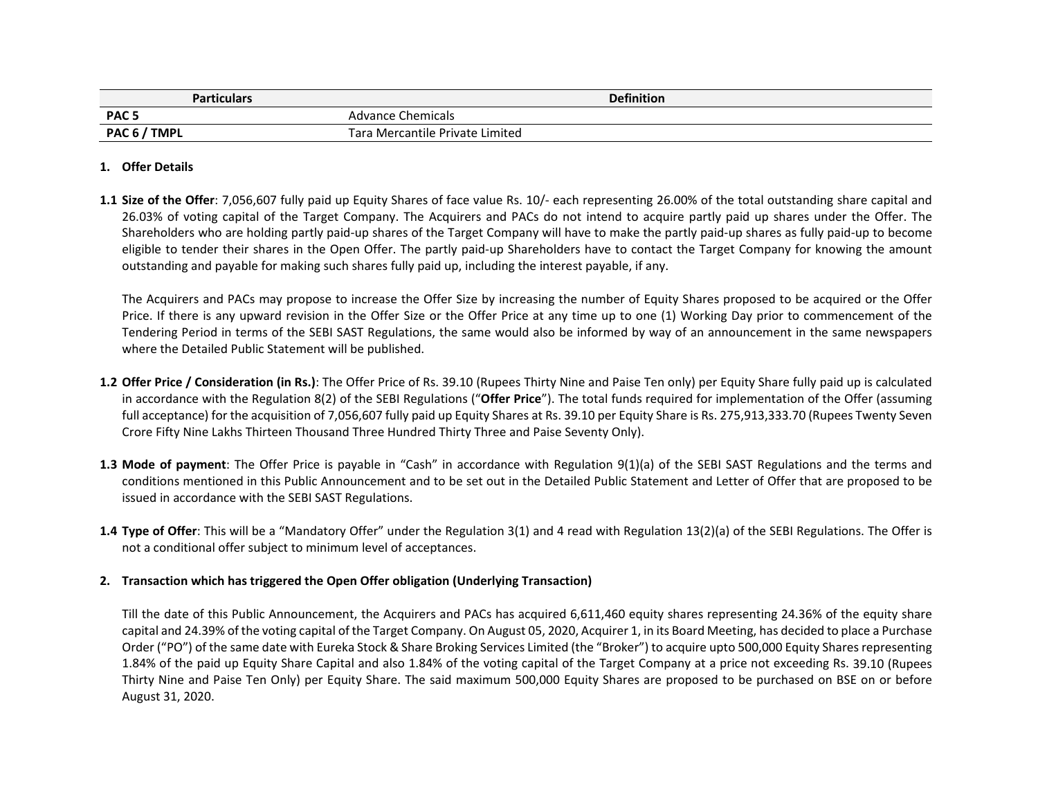| <b>Particulars</b> | <b>Definition</b>               |
|--------------------|---------------------------------|
| PAC <sub>5</sub>   | Advance Chemicals               |
| PAC 6 / TMPL       | Tara Mercantile Private Limited |

## **1. Offer Details**

**1.1 Size of the Offer**: 7,056,607 fully paid up Equity Shares of face value Rs. 10/‐ each representing 26.00% of the total outstanding share capital and 26.03% of voting capital of the Target Company. The Acquirers and PACs do not intend to acquire partly paid up shares under the Offer. The Shareholders who are holding partly paid‐up shares of the Target Company will have to make the partly paid‐up shares as fully paid‐up to become eligible to tender their shares in the Open Offer. The partly paid‐up Shareholders have to contact the Target Company for knowing the amount outstanding and payable for making such shares fully paid up, including the interest payable, if any.

The Acquirers and PACs may propose to increase the Offer Size by increasing the number of Equity Shares proposed to be acquired or the Offer Price. If there is any upward revision in the Offer Size or the Offer Price at any time up to one (1) Working Day prior to commencement of the Tendering Period in terms of the SEBI SAST Regulations, the same would also be informed by way of an announcement in the same newspapers where the Detailed Public Statement will be published.

- **1.2 Offer Price / Consideration (in Rs.)**: The Offer Price of Rs. 39.10 (Rupees Thirty Nine and Paise Ten only) per Equity Share fully paid up is calculated in accordance with the Regulation 8(2) of the SEBI Regulations ("**Offer Price**"). The total funds required for implementation of the Offer (assuming full acceptance) for the acquisition of 7,056,607 fully paid up Equity Shares at Rs. 39.10 per Equity Share is Rs. 275,913,333.70 (Rupees Twenty Seven Crore Fifty Nine Lakhs Thirteen Thousand Three Hundred Thirty Three and Paise Seventy Only).
- **1.3 Mode of payment**: The Offer Price is payable in "Cash" in accordance with Regulation 9(1)(a) of the SEBI SAST Regulations and the terms and conditions mentioned in this Public Announcement and to be set out in the Detailed Public Statement and Letter of Offer that are proposed to be issued in accordance with the SEBI SAST Regulations.
- **1.4 Type of Offer**: This will be <sup>a</sup> "Mandatory Offer" under the Regulation 3(1) and 4 read with Regulation 13(2)(a) of the SEBI Regulations. The Offer is not a conditional offer subject to minimum level of acceptances.

# **2. Transaction which has triggered the Open Offer obligation (Underlying Transaction)**

Till the date of this Public Announcement, the Acquirers and PACs has acquired 6,611,460 equity shares representing 24.36% of the equity share capital and 24.39% of the voting capital of the Target Company. On August 05, 2020, Acquirer 1, in its Board Meeting, has decided to place <sup>a</sup> Purchase Order ("PO") of the same date with Eureka Stock & Share Broking Services Limited (the "Broker") to acquire upto 500,000 Equity Sharesrepresenting 1.84% of the paid up Equity Share Capital and also 1.84% of the voting capital of the Target Company at <sup>a</sup> price not exceeding Rs. 39.10 (Rupees Thirty Nine and Paise Ten Only) per Equity Share. The said maximum 500,000 Equity Shares are proposed to be purchased on BSE on or before August 31, 2020.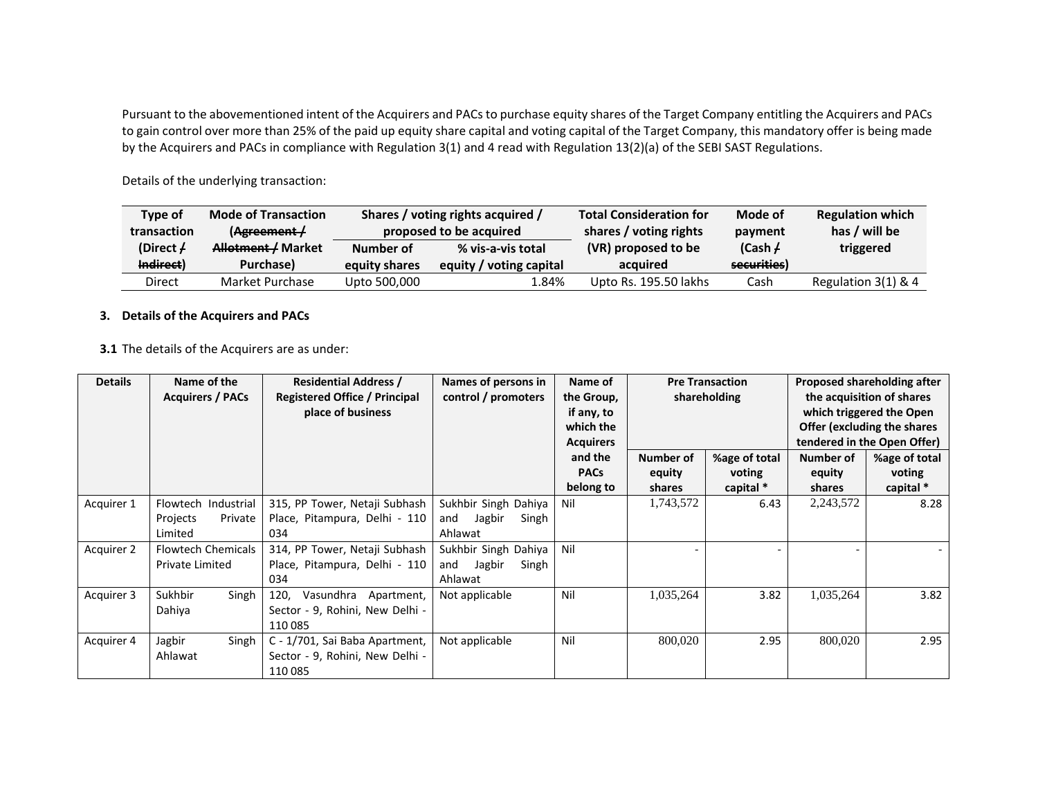Pursuant to the abovementioned intent of the Acquirers and PACs to purchase equity shares of the Target Company entitling the Acquirers and PACs to gain control over more than 25% of the paid up equity share capital and voting capital of the Target Company, this mandatory offer is being made by the Acquirers and PACs in compliance with Regulation 3(1) and 4 read with Regulation 13(2)(a) of the SEBI SAST Regulations.

| Type of     | <b>Mode of Transaction</b> |               | Shares / voting rights acquired / | <b>Total Consideration for</b> | Mode of     | <b>Regulation which</b> |
|-------------|----------------------------|---------------|-----------------------------------|--------------------------------|-------------|-------------------------|
| transaction | (Agreement /               |               | proposed to be acquired           | shares / voting rights         | payment     | has / will be           |
| (Direct $/$ | Allotment / Market         | Number of     | % vis-a-vis total                 | (VR) proposed to be            | (Cash /     | triggered               |
| Indirect)   | Purchase)                  | equity shares | equity / voting capital           | acquired                       | securities) |                         |
| Direct      | Market Purchase            | Upto 500,000  | 84%،                              | Upto Rs. 195.50 lakhs          | Cash        | Regulation $3(1)$ & 4   |

Details of the underlying transaction:

## **3. Details of the Acquirers and PACs**

## **3.1** The details of the Acquirers are as under:

| <b>Details</b> | Name of the<br><b>Acquirers / PACs</b>                | <b>Residential Address /</b><br><b>Registered Office / Principal</b><br>place of business | Names of persons in<br>control / promoters                | Name of<br>the Group,<br>if any, to<br>which the<br><b>Acquirers</b> |                     | <b>Pre Transaction</b><br>shareholding |                     | Proposed shareholding after<br>the acquisition of shares<br>which triggered the Open<br>Offer (excluding the shares<br>tendered in the Open Offer) |
|----------------|-------------------------------------------------------|-------------------------------------------------------------------------------------------|-----------------------------------------------------------|----------------------------------------------------------------------|---------------------|----------------------------------------|---------------------|----------------------------------------------------------------------------------------------------------------------------------------------------|
|                |                                                       |                                                                                           |                                                           | and the<br><b>PACs</b>                                               | Number of<br>equity | %age of total<br>voting                | Number of<br>equity | %age of total<br>voting                                                                                                                            |
|                |                                                       |                                                                                           |                                                           | belong to                                                            | shares              | capital *                              | shares              | capital *                                                                                                                                          |
| Acquirer 1     | Flowtech Industrial<br>Projects<br>Private<br>Limited | 315, PP Tower, Netaji Subhash<br>Place, Pitampura, Delhi - 110<br>034                     | Sukhbir Singh Dahiya<br>Jagbir<br>Singh<br>and<br>Ahlawat | Nil                                                                  | 1,743,572           | 6.43                                   | 2,243,572           | 8.28                                                                                                                                               |
| Acquirer 2     | <b>Flowtech Chemicals</b><br><b>Private Limited</b>   | 314, PP Tower, Netaji Subhash<br>Place, Pitampura, Delhi - 110<br>034                     | Sukhbir Singh Dahiya<br>Jagbir<br>Singh<br>and<br>Ahlawat | Nil                                                                  |                     |                                        |                     |                                                                                                                                                    |
| Acquirer 3     | Sukhbir<br>Singh<br>Dahiya                            | 120,<br>Vasundhra<br>Apartment,<br>Sector - 9, Rohini, New Delhi -<br>110 085             | Not applicable                                            | Nil                                                                  | 1,035,264           | 3.82                                   | 1,035,264           | 3.82                                                                                                                                               |
| Acquirer 4     | Jagbir<br>Singh<br>Ahlawat                            | C - 1/701, Sai Baba Apartment,<br>Sector - 9, Rohini, New Delhi -<br>110 085              | Not applicable                                            | Nil                                                                  | 800,020             | 2.95                                   | 800,020             | 2.95                                                                                                                                               |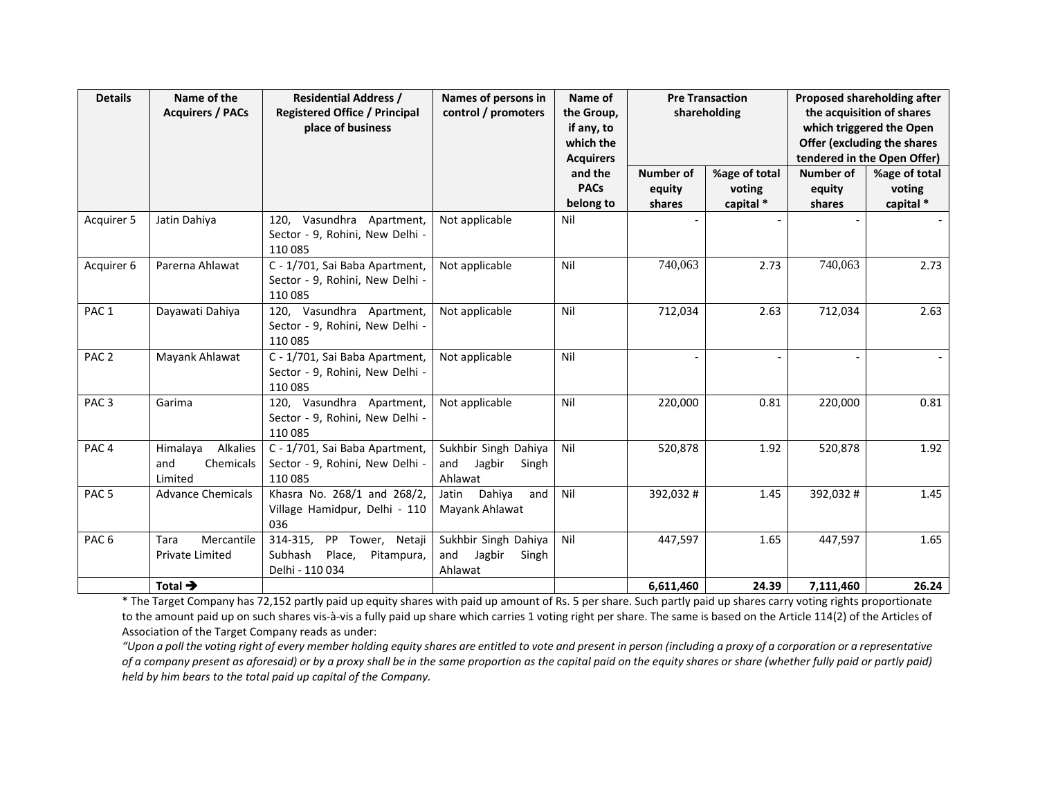| <b>Details</b>   | Name of the<br><b>Acquirers / PACs</b>              | <b>Residential Address /</b><br><b>Registered Office / Principal</b><br>place of business | Names of persons in<br>control / promoters                | Name of<br>the Group,<br>if any, to<br>which the<br><b>Acquirers</b> |                                      | <b>Pre Transaction</b><br>shareholding |                               | Proposed shareholding after<br>the acquisition of shares<br>which triggered the Open<br>Offer (excluding the shares<br>tendered in the Open Offer) |
|------------------|-----------------------------------------------------|-------------------------------------------------------------------------------------------|-----------------------------------------------------------|----------------------------------------------------------------------|--------------------------------------|----------------------------------------|-------------------------------|----------------------------------------------------------------------------------------------------------------------------------------------------|
|                  |                                                     |                                                                                           |                                                           | and the<br><b>PACs</b><br>belong to                                  | <b>Number of</b><br>equity<br>shares | %age of total<br>voting<br>capital *   | Number of<br>equity<br>shares | %age of total<br>voting<br>capital *                                                                                                               |
| Acquirer 5       | Jatin Dahiya                                        | 120, Vasundhra Apartment,<br>Sector - 9, Rohini, New Delhi -<br>110 085                   | Not applicable                                            | Nil                                                                  |                                      |                                        |                               |                                                                                                                                                    |
| Acquirer 6       | Parerna Ahlawat                                     | C - 1/701, Sai Baba Apartment,<br>Sector - 9, Rohini, New Delhi -<br>110 085              | Not applicable                                            | Nil                                                                  | 740,063                              | 2.73                                   | 740,063                       | 2.73                                                                                                                                               |
| PAC <sub>1</sub> | Dayawati Dahiya                                     | 120, Vasundhra Apartment,<br>Sector - 9, Rohini, New Delhi -<br>110 085                   | Not applicable                                            | Nil                                                                  | 712,034                              | 2.63                                   | 712,034                       | 2.63                                                                                                                                               |
| PAC <sub>2</sub> | Mayank Ahlawat                                      | C - 1/701, Sai Baba Apartment,<br>Sector - 9, Rohini, New Delhi -<br>110 085              | Not applicable                                            | Nil                                                                  |                                      |                                        |                               |                                                                                                                                                    |
| PAC <sub>3</sub> | Garima                                              | 120, Vasundhra Apartment,<br>Sector - 9, Rohini, New Delhi -<br>110 085                   | Not applicable                                            | Nil                                                                  | 220,000                              | 0.81                                   | 220,000                       | 0.81                                                                                                                                               |
| PAC <sub>4</sub> | Himalaya<br>Alkalies<br>and<br>Chemicals<br>Limited | C - 1/701, Sai Baba Apartment,<br>Sector - 9, Rohini, New Delhi -<br>110 085              | Sukhbir Singh Dahiya<br>and<br>Jagbir<br>Singh<br>Ahlawat | Nil                                                                  | 520,878                              | 1.92                                   | 520,878                       | 1.92                                                                                                                                               |
| PAC <sub>5</sub> | <b>Advance Chemicals</b>                            | Khasra No. 268/1 and 268/2,<br>Village Hamidpur, Delhi - 110<br>036                       | Dahiya<br>Jatin<br>and<br>Mayank Ahlawat                  | Nil                                                                  | 392,032#                             | 1.45                                   | 392,032#                      | 1.45                                                                                                                                               |
| PAC <sub>6</sub> | Mercantile<br>Tara<br>Private Limited               | 314-315,<br>PP Tower, Netaji<br>Subhash<br>Place,<br>Pitampura,<br>Delhi - 110 034        | Sukhbir Singh Dahiya<br>and<br>Jagbir<br>Singh<br>Ahlawat | Nil                                                                  | 447,597                              | 1.65                                   | 447,597                       | 1.65                                                                                                                                               |
|                  | Total $\rightarrow$                                 |                                                                                           |                                                           |                                                                      | 6,611,460                            | 24.39                                  | 7,111,460                     | 26.24                                                                                                                                              |

\* The Target Company has 72,152 partly paid up equity shares with paid up amount of Rs. 5 per share. Such partly paid up shares carry voting rights proportionate to the amount paid up on such shares vis‐à‐vis <sup>a</sup> fully paid up share which carries 1 voting right per share. The same is based on the Article 114(2) of the Articles of Association of the Target Company reads as under:

"Upon a poll the voting right of every member holding equity shares are entitled to vote and present in person (including a proxy of a corporation or a representative of a company present as aforesaid) or by a proxy shall be in the same proportion as the capital paid on the equity shares or share (whether fully paid or partly paid) *held by him bears to the total paid up capital of the Company.*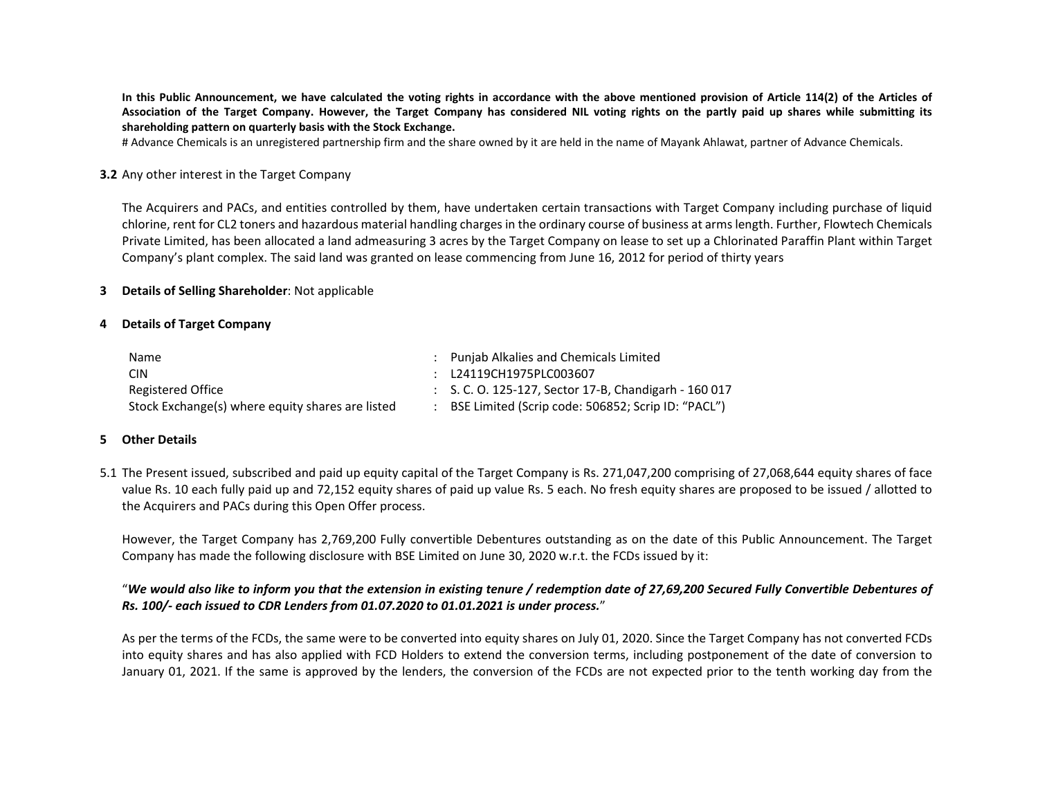In this Public Announcement, we have calculated the voting rights in accordance with the above mentioned provision of Article 114(2) of the Articles of Association of the Target Company. However, the Target Company has considered NIL voting rights on the partly paid up shares while submitting its **shareholding pattern on quarterly basis with the Stock Exchange.**

# Advance Chemicals is an unregistered partnership firm and the share owned by it are held in the name of Mayank Ahlawat, partner of Advance Chemicals.

#### **3.2** Any other interest in the Target Company

The Acquirers and PACs, and entities controlled by them, have undertaken certain transactions with Target Company including purchase of liquid chlorine, rent for CL2 toners and hazardous material handling charges in the ordinary course of business at armslength. Further, Flowtech Chemicals Private Limited, has been allocated <sup>a</sup> land admeasuring 3 acres by the Target Company on lease to set up <sup>a</sup> Chlorinated Paraffin Plant within Target Company's plant complex. The said land was granted on lease commencing from June 16, 2012 for period of thirty years

## **3 Details of Selling Shareholder**: Not applicable

## **4 Details of Target Company**

| <b>Name</b>                                      | : Punjab Alkalies and Chemicals Limited                          |
|--------------------------------------------------|------------------------------------------------------------------|
| <b>CIN</b>                                       | : L24119CH1975PLC003607                                          |
| Registered Office                                | $\therefore$ S. C. O. 125-127, Sector 17-B, Chandigarh - 160 017 |
| Stock Exchange(s) where equity shares are listed | BSE Limited (Scrip code: 506852; Scrip ID: "PACL")               |

#### **5 Other Details**

5.1 The Present issued, subscribed and paid up equity capital of the Target Company is Rs. 271,047,200 comprising of 27,068,644 equity shares of face value Rs. 10 each fully paid up and 72,152 equity shares of paid up value Rs. 5 each. No fresh equity shares are proposed to be issued / allotted to the Acquirers and PACs during this Open Offer process.

However, the Target Company has 2,769,200 Fully convertible Debentures outstanding as on the date of this Public Announcement. The Target Company has made the following disclosure with BSE Limited on June 30, 2020 w.r.t. the FCDs issued by it:

# "We would also like to inform you that the extension in existing tenure / redemption date of 27,69,200 Secured Fully Convertible Debentures of *Rs. 100/‐ each issued to CDR Lenders from 01.07.2020 to 01.01.2021 is under process.*"

As per the terms of the FCDs, the same were to be converted into equity shares on July 01, 2020. Since the Target Company has not converted FCDs into equity shares and has also applied with FCD Holders to extend the conversion terms, including postponement of the date of conversion to January 01, 2021. If the same is approved by the lenders, the conversion of the FCDs are not expected prior to the tenth working day from the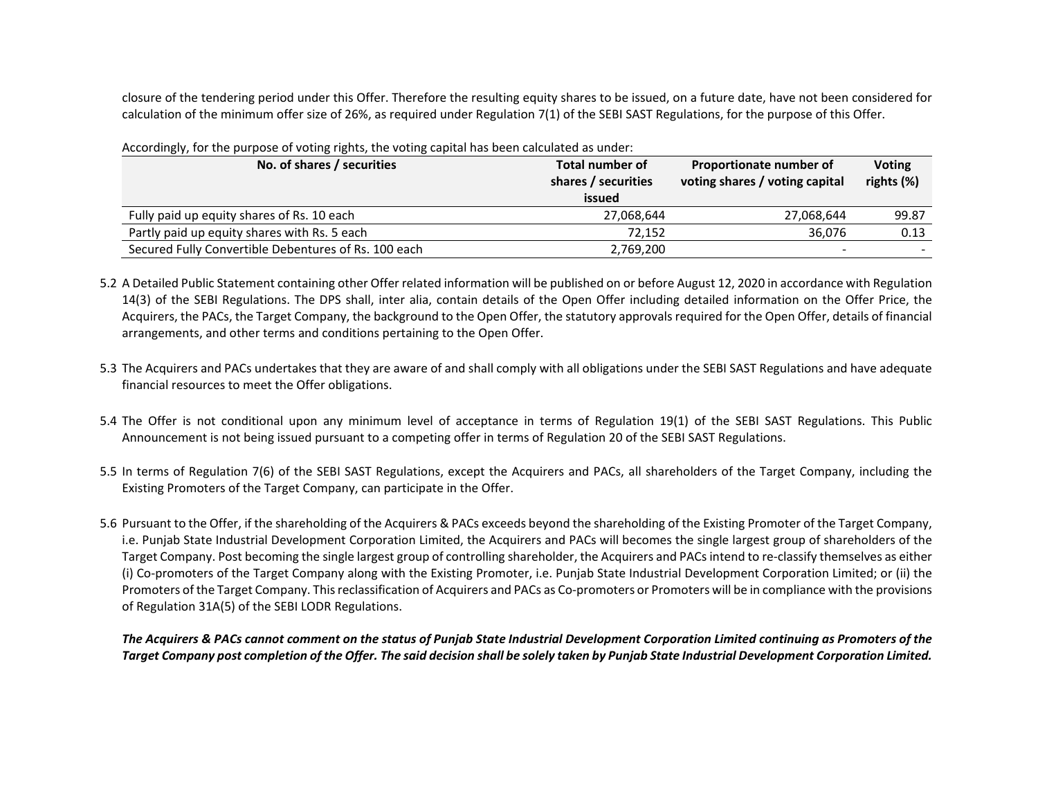closure of the tendering period under this Offer. Therefore the resulting equity shares to be issued, on <sup>a</sup> future date, have not been considered for calculation of the minimum offer size of 26%, as required under Regulation 7(1) of the SEBI SAST Regulations, for the purpose of this Offer.

| No. of shares / securities                           | <b>Total number of</b><br>shares / securities<br>issued | Proportionate number of<br>voting shares / voting capital | <b>Voting</b><br>rights (%) |
|------------------------------------------------------|---------------------------------------------------------|-----------------------------------------------------------|-----------------------------|
| Fully paid up equity shares of Rs. 10 each           | 27.068.644                                              | 27,068,644                                                | 99.87                       |
| Partly paid up equity shares with Rs. 5 each         | 72.152                                                  | 36.076                                                    | 0.13                        |
| Secured Fully Convertible Debentures of Rs. 100 each | 2,769,200                                               | $\overline{\phantom{0}}$                                  |                             |

Accordingly, for the purpose of voting rights, the voting capital has been calculated as under:

5.2 A Detailed Public Statement containing other Offer related information will be published on or before August 12, 2020 in accordance with Regulation 14(3) of the SEBI Regulations. The DPS shall, inter alia, contain details of the Open Offer including detailed information on the Offer Price, the Acquirers, the PACs, the Target Company, the background to the Open Offer, the statutory approvals required for the Open Offer, details of financial arrangements, and other terms and conditions pertaining to the Open Offer.

- 5.3 The Acquirers and PACs undertakes that they are aware of and shall comply with all obligations under the SEBI SAST Regulations and have adequate financial resources to meet the Offer obligations.
- 5.4 The Offer is not conditional upon any minimum level of acceptance in terms of Regulation 19(1) of the SEBI SAST Regulations. This Public Announcement is not being issued pursuant to <sup>a</sup> competing offer in terms of Regulation 20 of the SEBI SAST Regulations.
- 5.5 In terms of Regulation 7(6) of the SEBI SAST Regulations, except the Acquirers and PACs, all shareholders of the Target Company, including the Existing Promoters of the Target Company, can participate in the Offer.
- 5.6 Pursuant to the Offer, if the shareholding of the Acquirers & PACs exceeds beyond the shareholding of the Existing Promoter of the Target Company, i.e. Punjab State Industrial Development Corporation Limited, the Acquirers and PACs will becomes the single largest group of shareholders of the Target Company. Post becoming the single largest group of controlling shareholder, the Acquirers and PACs intend to re-classify themselves as either (i) Co‐promoters of the Target Company along with the Existing Promoter, i.e. Punjab State Industrial Development Corporation Limited; or (ii) the Promoters of the Target Company. Thisreclassification of Acquirers and PACs as Co‐promoters or Promoters will be in compliance with the provisions of Regulation 31A(5) of the SEBI LODR Regulations.

The Acquirers & PACs cannot comment on the status of Punjab State Industrial Development Corporation Limited continuing as Promoters of the Target Company post completion of the Offer. The said decision shall be solely taken by Punjab State Industrial Development Corporation Limited.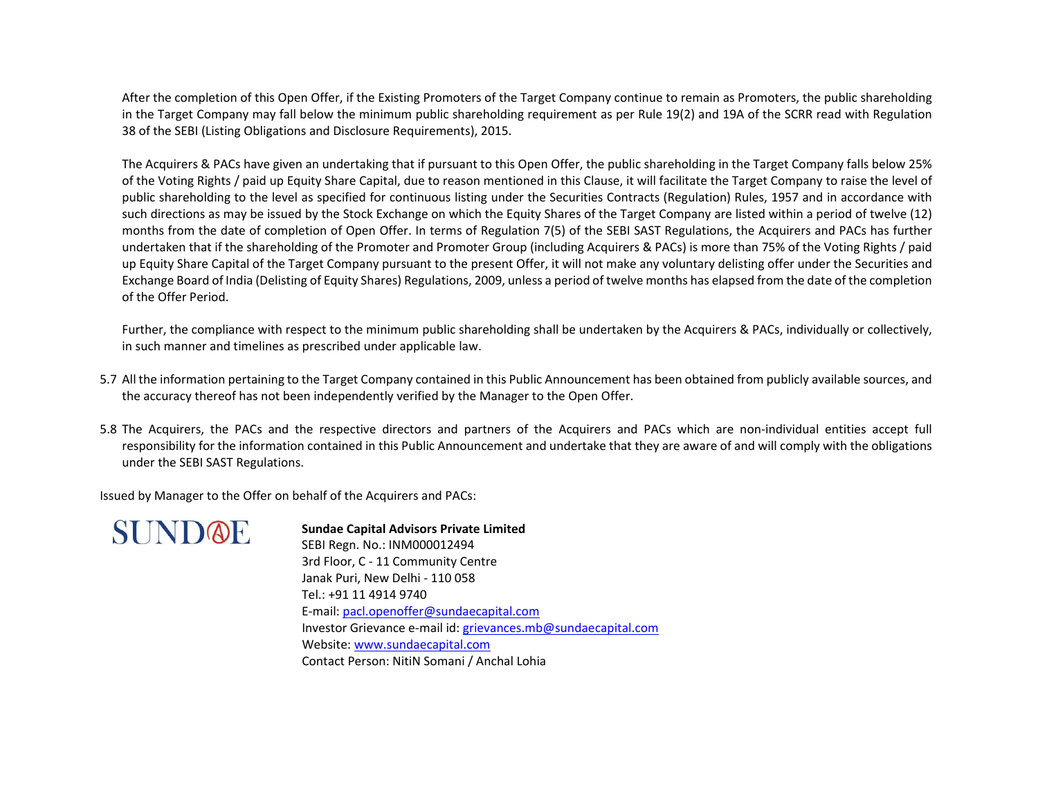After the completion of this Open Offer, if the Existing Promoters of the Target Company continue to remain as Promoters, the public shareholding in the Target Company may fall below the minimum public shareholding requirement as per Rule 19(2) and 19A of the SCRR read with Regulation 38 of the SEBI (Listing Obligations and Disclosure Requirements), 2015.

The Acquirers & PACs have given an undertaking that if pursuant to this Open Offer, the public shareholding in the Target Company falls below 25% of the Voting Rights / paid up Equity Share Capital, due to reason mentioned in this Clause, it will facilitate the Target Company to raise the level of public shareholding to the level as specified for continuous listing under the Securities Contracts (Regulation) Rules, 1957 and in accordance with such directions as may be issued by the Stock Exchange on which the Equity Shares of the Target Company are listed within <sup>a</sup> period of twelve (12) months from the date of completion of Open Offer. In terms of Regulation 7(5) of the SEBI SAST Regulations, the Acquirers and PACs has further undertaken that if the shareholding of the Promoter and Promoter Group (including Acquirers & PACs) is more than 75% of the Voting Rights / paid up Equity Share Capital of the Target Company pursuant to the present Offer, it will not make any voluntary delisting offer under the Securities and Exchange Board of India (Delisting of Equity Shares) Regulations, 2009, unless <sup>a</sup> period of twelve months has elapsed from the date of the completion of the Offer Period.

Further, the compliance with respect to the minimum public shareholding shall be undertaken by the Acquirers & PACs, individually or collectively, in such manner and timelines as prescribed under applicable law.

- 5.7 All the information pertaining to the Target Company contained in this Public Announcement has been obtained from publicly available sources, and the accuracy thereof has not been independently verified by the Manager to the Open Offer.
- 5.8 The Acquirers, the PACs and the respective directors and partners of the Acquirers and PACs which are non‐individual entities accept full responsibility for the information contained in this Public Announcement and undertake that they are aware of and will comply with the obligations under the SEBI SAST Regulations.

Issued by Manager to the Offer on behalf of the Acquirers and PACs:



**Sundae Capital Advisors Private Limited** SEBI Regn. No.: INM000012494 3rd Floor, C ‐ 11 Community Centre Janak Puri, New Delhi ‐ 110 058 Tel.: +91 11 4914 9740 E‐mail: pacl.openoffer@sundaecapital.com Investor Grievance e-mail id: <u>grievances.mb@sundaecapital.com</u> Website: www.sundaecapital.com Contact Person: NitiN Somani / Anchal Lohia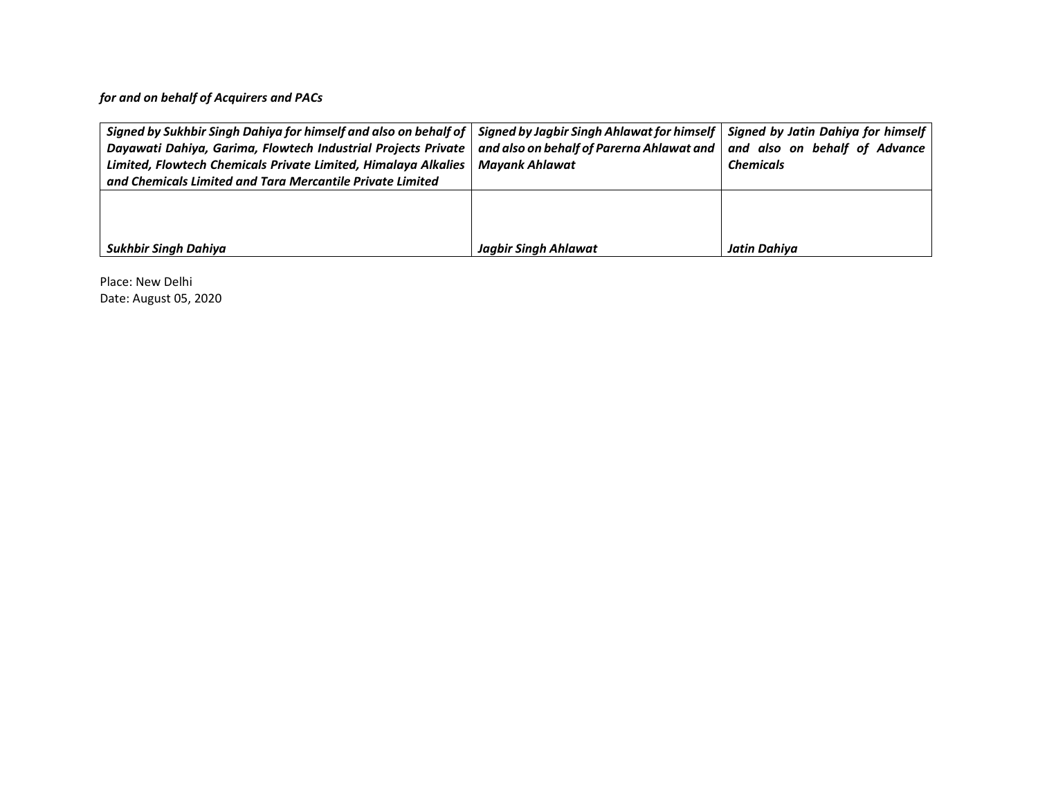*for and on behalf of Acquirers and PACs*

| Signed by Sukhbir Singh Dahiya for himself and also on behalf of $\mid$ Signed by Jagbir Singh Ahlawat for himself $\mid$ |                                           | Signed by Jatin Dahiya for himself |
|---------------------------------------------------------------------------------------------------------------------------|-------------------------------------------|------------------------------------|
| Dayawati Dahiya, Garima, Flowtech Industrial Projects Private                                                             | and also on behalf of Parerna Ahlawat and | and also on behalf of Advance      |
| Limited, Flowtech Chemicals Private Limited, Himalaya Alkalies                                                            | Mayank Ahlawat                            | <b>Chemicals</b>                   |
| and Chemicals Limited and Tara Mercantile Private Limited                                                                 |                                           |                                    |
|                                                                                                                           |                                           |                                    |
|                                                                                                                           |                                           |                                    |
|                                                                                                                           |                                           |                                    |
| Sukhbir Singh Dahiya                                                                                                      | <b>Jagbir Singh Ahlawat</b>               | Jatin Dahiva                       |

Place: New Delhi Date: August 05, 2020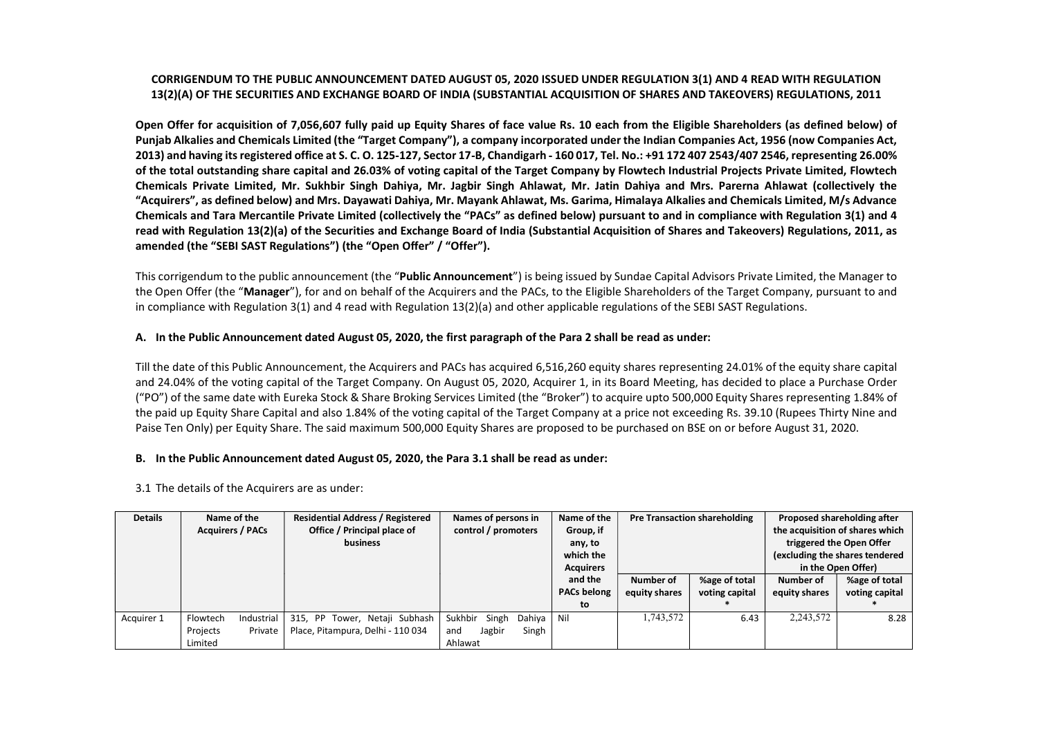CONSIDERATION TO THE PUBLIC ANNOUNCE BUYING DUE DESIGNED RESIGNED IN CONTRACT AND AN ARCHIVERY INTEGRATION (1991)<br>
DESIGNED TO THE SERVICE STATE OF THE SERVICE STATE OF THE SERVICE STATE OF THE SERVICE STATE OF THE SERVIC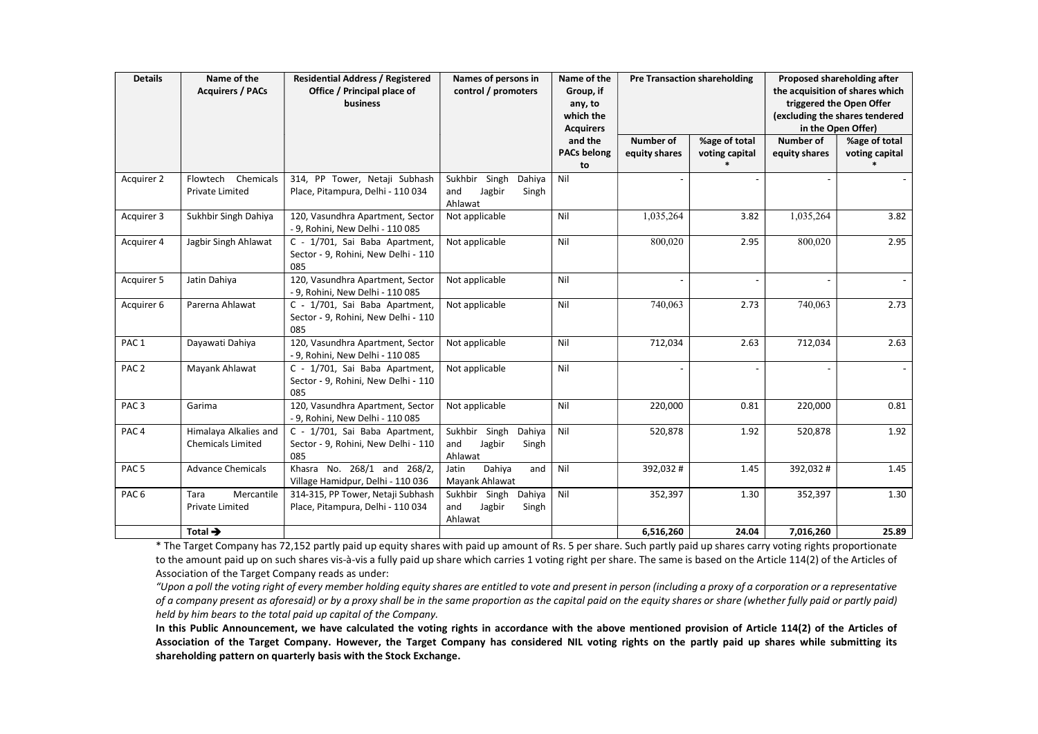| in the Open Offer)<br><b>Acquirers</b><br>and the<br>Number of<br>%age of total<br><b>Number of</b><br>%age of total<br><b>PACs belong</b><br>equity shares<br>voting capital<br>voting capital<br>equity shares<br>to<br>Nil<br>Flowtech Chemicals<br>314, PP Tower, Netaji Subhash<br>Sukhbir Singh Dahiya<br>Private Limited<br>Place, Pitampura, Delhi - 110 034<br>and Jagbir<br>Singh<br>Ahlawat<br>1,035,264<br>1,035,264<br>120, Vasundhra Apartment, Sector<br>Sukhbir Singh Dahiya<br>Nil<br>3.82<br>3.82<br>Not applicable<br>- 9, Rohini, New Delhi - 110 085<br>Nil<br>800,020<br>800,020<br>2.95<br>Jagbir Singh Ahlawat<br>C - 1/701, Sai Baba Apartment,<br>Not applicable<br>2.95<br>Sector - 9, Rohini, New Delhi - 110<br>085<br>120, Vasundhra Apartment, Sector<br>Nil<br>Jatin Dahiya<br>Not applicable<br>- 9, Rohini, New Delhi - 110 085<br>740,063<br>740,063<br>Nil<br>2.73<br>Parerna Ahlawat<br>C - 1/701, Sai Baba Apartment,<br>Not applicable<br>2.73<br>Sector - 9, Rohini, New Delhi - 110<br>085<br>120, Vasundhra Apartment, Sector<br>Not applicable<br>Nil<br>712,034<br>2.63<br>712,034<br>2.63<br>Dayawati Dahiya<br>- 9, Rohini, New Delhi - 110 085<br>Nil<br>Mayank Ahlawat<br>C - 1/701, Sai Baba Apartment,<br>Not applicable<br>Sector - 9, Rohini, New Delhi - 110<br>085<br>Nil<br>120, Vasundhra Apartment, Sector<br>220,000<br>0.81<br>220,000<br>$0.81\,$<br>Garima<br>Not applicable<br>- 9, Rohini, New Delhi - 110 085<br>Nil<br>1.92<br>Himalaya Alkalies and<br>C - 1/701, Sai Baba Apartment,<br>Sukhbir Singh Dahiya<br>520,878<br>1.92<br>520,878<br>Chemicals Limited<br>Sector - 9, Rohini, New Delhi - 110<br>and Jagbir<br>Singh<br>085<br>Ahlawat<br>Khasra No. 268/1 and 268/2,<br>Dahiya<br>and $\sqrt{\overline{N}}$<br>1.45<br>$\overline{392,032}$ #<br>1.45<br><b>Advance Chemicals</b><br>392,032#<br>Jatin<br>Village Hamidpur, Delhi - 110 036<br>Mayank Ahlawat<br>Sukhbir Singh Dahiya<br>$\vert$ Nil<br>1.30<br>352,397<br>1.30<br>Tara<br>Mercantile<br>314-315, PP Tower, Netaji Subhash<br>352,397<br>Private Limited<br>Place, Pitampura, Delhi - 110 034<br>and Jagbir<br>Singh<br>Ahlawat<br>Total $\rightarrow$<br>6,516,260<br>24.04<br>7,016,260<br>25.89<br>* The Target Company has 72,152 partly paid up equity shares with paid up amount of Rs. 5 per share. Such partly paid up shares carry voting rights proportionate<br>to the amount paid up on such shares vis-à-vis a fully paid up share which carries 1 voting right per share. The same is based on the Article 114(2) of the Articles of |                          |
|-------------------------------------------------------------------------------------------------------------------------------------------------------------------------------------------------------------------------------------------------------------------------------------------------------------------------------------------------------------------------------------------------------------------------------------------------------------------------------------------------------------------------------------------------------------------------------------------------------------------------------------------------------------------------------------------------------------------------------------------------------------------------------------------------------------------------------------------------------------------------------------------------------------------------------------------------------------------------------------------------------------------------------------------------------------------------------------------------------------------------------------------------------------------------------------------------------------------------------------------------------------------------------------------------------------------------------------------------------------------------------------------------------------------------------------------------------------------------------------------------------------------------------------------------------------------------------------------------------------------------------------------------------------------------------------------------------------------------------------------------------------------------------------------------------------------------------------------------------------------------------------------------------------------------------------------------------------------------------------------------------------------------------------------------------------------------------------------------------------------------------------------------------------------------------------------------------------------------------------------------------------------------------------------------------------------------------------------------------------------------------------------------------------------------------------------------------------------------------------------------------------------------------------------------------------------------------------------------|--------------------------|
|                                                                                                                                                                                                                                                                                                                                                                                                                                                                                                                                                                                                                                                                                                                                                                                                                                                                                                                                                                                                                                                                                                                                                                                                                                                                                                                                                                                                                                                                                                                                                                                                                                                                                                                                                                                                                                                                                                                                                                                                                                                                                                                                                                                                                                                                                                                                                                                                                                                                                                                                                                                                 | Acquirer 2<br>Acquirer 3 |
|                                                                                                                                                                                                                                                                                                                                                                                                                                                                                                                                                                                                                                                                                                                                                                                                                                                                                                                                                                                                                                                                                                                                                                                                                                                                                                                                                                                                                                                                                                                                                                                                                                                                                                                                                                                                                                                                                                                                                                                                                                                                                                                                                                                                                                                                                                                                                                                                                                                                                                                                                                                                 |                          |
|                                                                                                                                                                                                                                                                                                                                                                                                                                                                                                                                                                                                                                                                                                                                                                                                                                                                                                                                                                                                                                                                                                                                                                                                                                                                                                                                                                                                                                                                                                                                                                                                                                                                                                                                                                                                                                                                                                                                                                                                                                                                                                                                                                                                                                                                                                                                                                                                                                                                                                                                                                                                 | Acquirer 4               |
|                                                                                                                                                                                                                                                                                                                                                                                                                                                                                                                                                                                                                                                                                                                                                                                                                                                                                                                                                                                                                                                                                                                                                                                                                                                                                                                                                                                                                                                                                                                                                                                                                                                                                                                                                                                                                                                                                                                                                                                                                                                                                                                                                                                                                                                                                                                                                                                                                                                                                                                                                                                                 |                          |
|                                                                                                                                                                                                                                                                                                                                                                                                                                                                                                                                                                                                                                                                                                                                                                                                                                                                                                                                                                                                                                                                                                                                                                                                                                                                                                                                                                                                                                                                                                                                                                                                                                                                                                                                                                                                                                                                                                                                                                                                                                                                                                                                                                                                                                                                                                                                                                                                                                                                                                                                                                                                 | Acquirer 5               |
|                                                                                                                                                                                                                                                                                                                                                                                                                                                                                                                                                                                                                                                                                                                                                                                                                                                                                                                                                                                                                                                                                                                                                                                                                                                                                                                                                                                                                                                                                                                                                                                                                                                                                                                                                                                                                                                                                                                                                                                                                                                                                                                                                                                                                                                                                                                                                                                                                                                                                                                                                                                                 | Acquirer 6               |
|                                                                                                                                                                                                                                                                                                                                                                                                                                                                                                                                                                                                                                                                                                                                                                                                                                                                                                                                                                                                                                                                                                                                                                                                                                                                                                                                                                                                                                                                                                                                                                                                                                                                                                                                                                                                                                                                                                                                                                                                                                                                                                                                                                                                                                                                                                                                                                                                                                                                                                                                                                                                 |                          |
|                                                                                                                                                                                                                                                                                                                                                                                                                                                                                                                                                                                                                                                                                                                                                                                                                                                                                                                                                                                                                                                                                                                                                                                                                                                                                                                                                                                                                                                                                                                                                                                                                                                                                                                                                                                                                                                                                                                                                                                                                                                                                                                                                                                                                                                                                                                                                                                                                                                                                                                                                                                                 | PAC <sub>1</sub>         |
|                                                                                                                                                                                                                                                                                                                                                                                                                                                                                                                                                                                                                                                                                                                                                                                                                                                                                                                                                                                                                                                                                                                                                                                                                                                                                                                                                                                                                                                                                                                                                                                                                                                                                                                                                                                                                                                                                                                                                                                                                                                                                                                                                                                                                                                                                                                                                                                                                                                                                                                                                                                                 | PAC <sub>2</sub>         |
|                                                                                                                                                                                                                                                                                                                                                                                                                                                                                                                                                                                                                                                                                                                                                                                                                                                                                                                                                                                                                                                                                                                                                                                                                                                                                                                                                                                                                                                                                                                                                                                                                                                                                                                                                                                                                                                                                                                                                                                                                                                                                                                                                                                                                                                                                                                                                                                                                                                                                                                                                                                                 | PAC <sub>3</sub>         |
|                                                                                                                                                                                                                                                                                                                                                                                                                                                                                                                                                                                                                                                                                                                                                                                                                                                                                                                                                                                                                                                                                                                                                                                                                                                                                                                                                                                                                                                                                                                                                                                                                                                                                                                                                                                                                                                                                                                                                                                                                                                                                                                                                                                                                                                                                                                                                                                                                                                                                                                                                                                                 | PAC <sub>4</sub>         |
|                                                                                                                                                                                                                                                                                                                                                                                                                                                                                                                                                                                                                                                                                                                                                                                                                                                                                                                                                                                                                                                                                                                                                                                                                                                                                                                                                                                                                                                                                                                                                                                                                                                                                                                                                                                                                                                                                                                                                                                                                                                                                                                                                                                                                                                                                                                                                                                                                                                                                                                                                                                                 | PAC <sub>5</sub>         |
|                                                                                                                                                                                                                                                                                                                                                                                                                                                                                                                                                                                                                                                                                                                                                                                                                                                                                                                                                                                                                                                                                                                                                                                                                                                                                                                                                                                                                                                                                                                                                                                                                                                                                                                                                                                                                                                                                                                                                                                                                                                                                                                                                                                                                                                                                                                                                                                                                                                                                                                                                                                                 | PAC <sub>6</sub>         |
|                                                                                                                                                                                                                                                                                                                                                                                                                                                                                                                                                                                                                                                                                                                                                                                                                                                                                                                                                                                                                                                                                                                                                                                                                                                                                                                                                                                                                                                                                                                                                                                                                                                                                                                                                                                                                                                                                                                                                                                                                                                                                                                                                                                                                                                                                                                                                                                                                                                                                                                                                                                                 |                          |
| held by him bears to the total paid up capital of the Company.<br>In this Public Announcement, we have calculated the voting rights in accordance with the above mentioned provision of Article 114(2) of the Articles of<br>Association of the Target Company. However, the Target Company has considered NIL voting rights on the partly paid up shares while submitting its<br>shareholding pattern on quarterly basis with the Stock Exchange.                                                                                                                                                                                                                                                                                                                                                                                                                                                                                                                                                                                                                                                                                                                                                                                                                                                                                                                                                                                                                                                                                                                                                                                                                                                                                                                                                                                                                                                                                                                                                                                                                                                                                                                                                                                                                                                                                                                                                                                                                                                                                                                                              |                          |